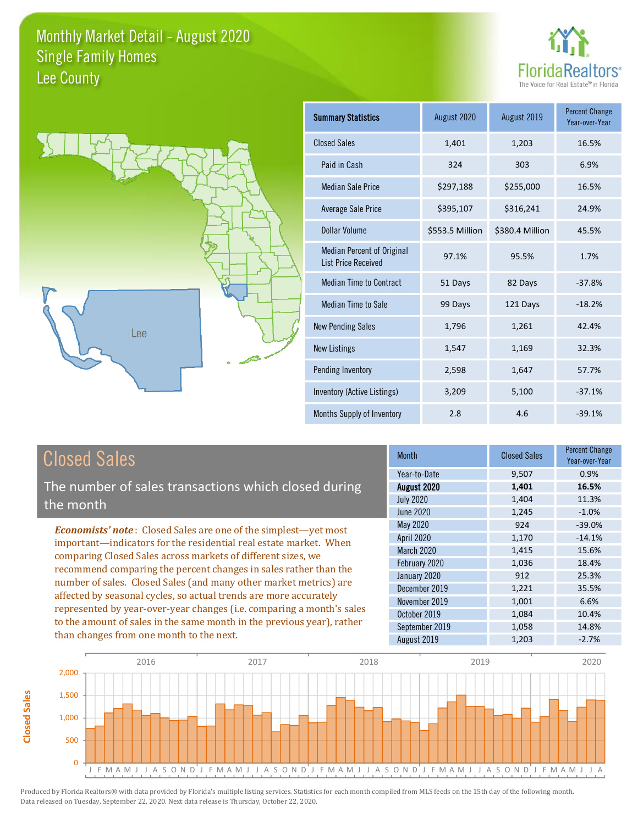



| <b>Summary Statistics</b>                                       | August 2020     | August 2019     | <b>Percent Change</b><br>Year-over-Year |
|-----------------------------------------------------------------|-----------------|-----------------|-----------------------------------------|
| <b>Closed Sales</b>                                             | 1,401           | 1,203           | 16.5%                                   |
| Paid in Cash                                                    | 324             | 303             | 6.9%                                    |
| Median Sale Price                                               | \$297,188       | \$255,000       | 16.5%                                   |
| <b>Average Sale Price</b>                                       | \$395,107       | \$316,241       | 24.9%                                   |
| Dollar Volume                                                   | \$553.5 Million | \$380.4 Million | 45.5%                                   |
| <b>Median Percent of Original</b><br><b>List Price Received</b> | 97.1%           | 95.5%           | 1.7%                                    |
| <b>Median Time to Contract</b>                                  | 51 Days         | 82 Days         | $-37.8%$                                |
| <b>Median Time to Sale</b>                                      | 99 Days         | 121 Days        | $-18.2%$                                |
| <b>New Pending Sales</b>                                        | 1,796           | 1,261           | 42.4%                                   |
| New Listings                                                    | 1,547           | 1,169           | 32.3%                                   |
| Pending Inventory                                               | 2,598           | 1,647           | 57.7%                                   |
| Inventory (Active Listings)                                     | 3,209           | 5,100           | $-37.1%$                                |
| Months Supply of Inventory                                      | 2.8             | 4.6             | $-39.1%$                                |

## **Closed Sales**

The number of sales transactions which closed during the month

**Economists' note:** Closed Sales are one of the simplest-yet most important-indicators for the residential real estate market. When comparing Closed Sales across markets of different sizes, we recommend comparing the percent changes in sales rather than the number of sales. Closed Sales (and many other market metrics) are affected by seasonal cycles, so actual trends are more accurately represented by year-over-year changes (i.e. comparing a month's sales to the amount of sales in the same month in the previous year), rather than changes from one month to the next.

| <b>Month</b>     | <b>Closed Sales</b> | <b>Percent Change</b><br>Year-over-Year |
|------------------|---------------------|-----------------------------------------|
| Year-to-Date     | 9,507               | 0.9%                                    |
| August 2020      | 1,401               | 16.5%                                   |
| <b>July 2020</b> | 1,404               | 11.3%                                   |
| <b>June 2020</b> | 1,245               | $-1.0%$                                 |
| <b>May 2020</b>  | 924                 | $-39.0%$                                |
| April 2020       | 1,170               | $-14.1%$                                |
| March 2020       | 1,415               | 15.6%                                   |
| February 2020    | 1,036               | 18.4%                                   |
| January 2020     | 912                 | 25.3%                                   |
| December 2019    | 1,221               | 35.5%                                   |
| November 2019    | 1,001               | 6.6%                                    |
| October 2019     | 1,084               | 10.4%                                   |
| September 2019   | 1,058               | 14.8%                                   |
| August 2019      | 1,203               | $-2.7%$                                 |

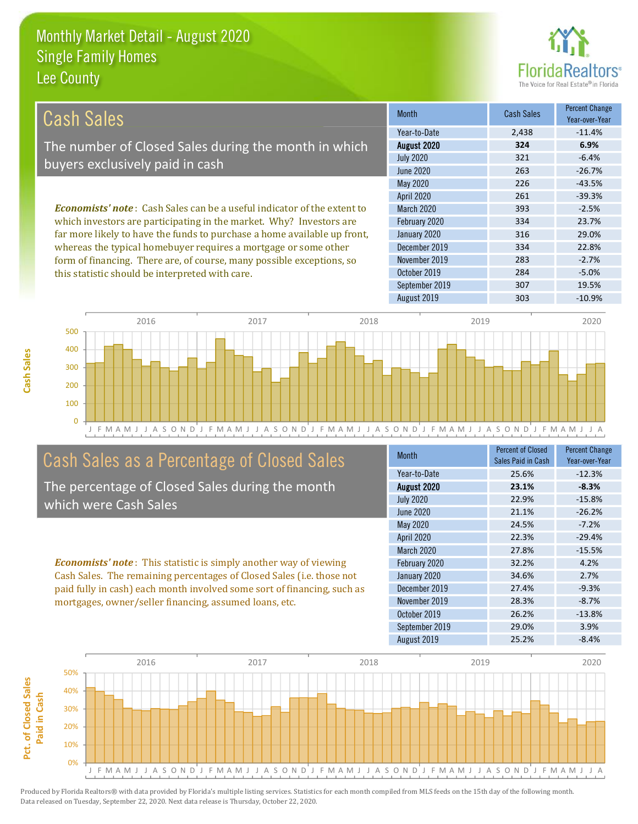

| Cash Sales                                                                     | <b>Month</b>      | Cash Sales | <b>Percent Change</b><br>Year-over-Year |
|--------------------------------------------------------------------------------|-------------------|------------|-----------------------------------------|
|                                                                                | Year-to-Date      | 2,438      | $-11.4%$                                |
| The number of Closed Sales during the month in which                           | August 2020       | 324        | 6.9%                                    |
| buyers exclusively paid in cash                                                | <b>July 2020</b>  | 321        | $-6.4%$                                 |
|                                                                                | June 2020         | 263        | $-26.7%$                                |
|                                                                                | May 2020          | 226        | $-43.5%$                                |
|                                                                                | <b>April 2020</b> | 261        | $-39.3%$                                |
| <b>Economists' note:</b> Cash Sales can be a useful indicator of the extent to | <b>March 2020</b> | 393        | $-2.5%$                                 |
| which investors are participating in the market. Why? Investors are            | February 2020     | 334        | 23.7%                                   |
| far more likely to have the funds to purchase a home available up front,       | January 2020      | 316        | 29.0%                                   |
| whereas the typical homebuyer requires a mortgage or some other                | December 2019     | 334        | 22.8%                                   |
| form of financing. There are, of course, many possible exceptions, so          | November 2019     | 283        | $-2.7%$                                 |
| this statistic should be interpreted with care.                                | October 2019      | 284        | $-5.0%$                                 |



September 2019

August 2019

## Cash Sales as a Percentage of Closed Sales

The percentage of Closed Sales during the month which were Cash Sales

**Economists' note:** This statistic is simply another way of viewing Cash Sales. The remaining percentages of Closed Sales (i.e. those not paid fully in cash) each month involved some sort of financing, such as mortgages, owner/seller financing, assumed loans, etc.

| Month             | <b>Percent of Closed</b><br>Sales Paid in Cash | <b>Percent Change</b><br>Year-over-Year |
|-------------------|------------------------------------------------|-----------------------------------------|
| Year-to-Date      | 25.6%                                          | $-12.3%$                                |
| August 2020       | 23.1%                                          | $-8.3%$                                 |
| <b>July 2020</b>  | 22.9%                                          | $-15.8%$                                |
| <b>June 2020</b>  | 21.1%                                          | $-26.2%$                                |
| <b>May 2020</b>   | 24.5%                                          | $-7.2%$                                 |
| April 2020        | 22.3%                                          | $-29.4%$                                |
| <b>March 2020</b> | 27.8%                                          | $-15.5%$                                |
| February 2020     | 32.2%                                          | 4.2%                                    |
| January 2020      | 34.6%                                          | 2.7%                                    |
| December 2019     | 27.4%                                          | $-9.3%$                                 |
| November 2019     | 28.3%                                          | $-8.7%$                                 |
| October 2019      | 26.2%                                          | $-13.8%$                                |
| September 2019    | 29.0%                                          | 3.9%                                    |
| August 2019       | 25.2%                                          | $-8.4%$                                 |

307

303

19.5%

 $-10.9%$ 

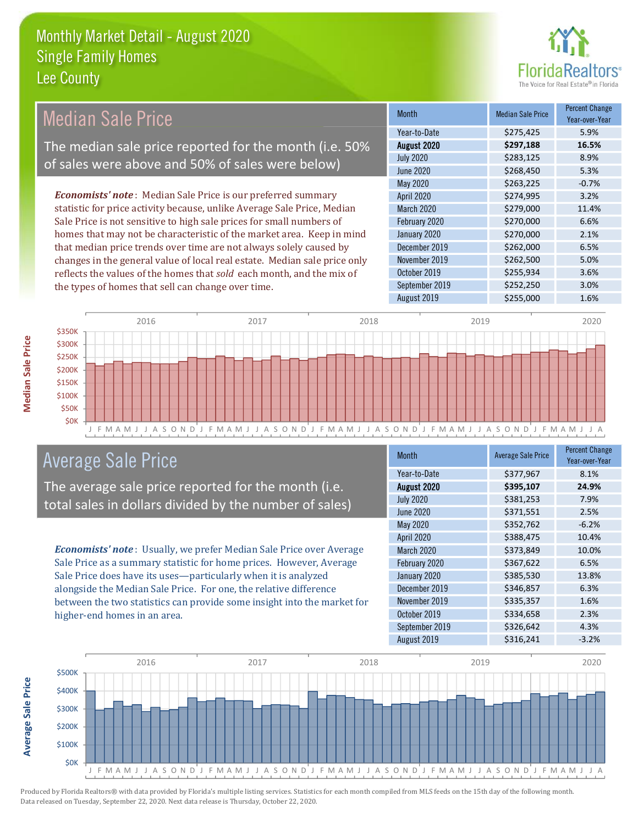

**Percent Change** 

#### **Median Sale Price Median Sale Price Month** Year-over-Year Year-to-Date \$275,425 5.9% The median sale price reported for the month (i.e. 50% August 2020 \$297,188 16.5% **July 2020** 8.9% \$283,125 of sales were above and 50% of sales were below) **June 2020** \$268,450 5.3% May 2020 \$263,225  $-0.7%$ **Economists' note:** Median Sale Price is our preferred summary **April 2020** \$274,995 3.2% statistic for price activity because, unlike Average Sale Price, Median March 2020 \$279,000 11.4% Sale Price is not sensitive to high sale prices for small numbers of February 2020 \$270,000 6.6% homes that may not be characteristic of the market area. Keep in mind January 2020 \$270,000 2.1% that median price trends over time are not always solely caused by December 2019 \$262,000 6.5% changes in the general value of local real estate. Median sale price only November 2019 \$262,500 5.0% reflects the values of the homes that sold each month, and the mix of October 2019 \$255,934 3.6% September 2019 \$252,250 3.0% the types of homes that sell can change over time. August 2019 \$255,000 1.6%



## **Average Sale Price**

The average sale price reported for the month (i.e. total sales in dollars divided by the number of sales)

Economists' note: Usually, we prefer Median Sale Price over Average Sale Price as a summary statistic for home prices. However, Average Sale Price does have its uses-particularly when it is analyzed alongside the Median Sale Price. For one, the relative difference between the two statistics can provide some insight into the market for higher-end homes in an area.

| <b>Month</b>      | <b>Average Sale Price</b> | <b>Percent Change</b><br>Year-over-Year |
|-------------------|---------------------------|-----------------------------------------|
| Year-to-Date      | \$377,967                 | 8.1%                                    |
| August 2020       | \$395,107                 | 24.9%                                   |
| <b>July 2020</b>  | \$381,253                 | 7.9%                                    |
| <b>June 2020</b>  | \$371,551                 | 2.5%                                    |
| May 2020          | \$352,762                 | $-6.2%$                                 |
| April 2020        | \$388,475                 | 10.4%                                   |
| <b>March 2020</b> | \$373,849                 | 10.0%                                   |
| February 2020     | \$367,622                 | 6.5%                                    |
| January 2020      | \$385,530                 | 13.8%                                   |
| December 2019     | \$346,857                 | 6.3%                                    |
| November 2019     | \$335,357                 | 1.6%                                    |
| October 2019      | \$334,658                 | 2.3%                                    |
| September 2019    | \$326,642                 | 4.3%                                    |
| August 2019       | \$316,241                 | $-3.2%$                                 |

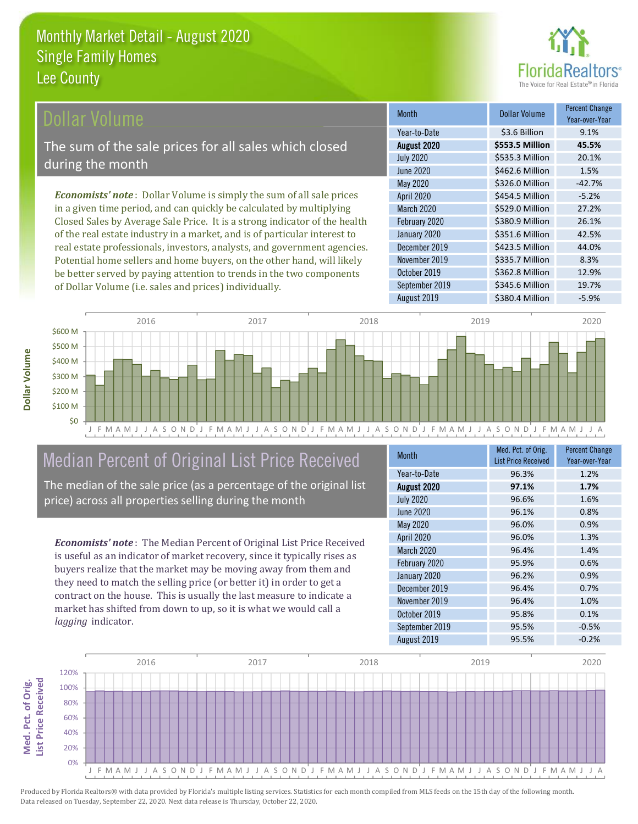

**Dollar Volume** 

\$3.6 Billion

\$553.5 Million

\$535.3 Million

\$462.6 Million

\$326.0 Million

\$454.5 Million

\$529.0 Million

\$380.9 Million

\$351.6 Million

\$423.5 Million

\$335.7 Million

\$362.8 Million

\$345.6 Million

\$380.4 Million

**Percent Change** 

Year-over-Year

9.1%

45.5%

201%

1.5%

 $-42.7%$ 

 $-5.2%$ 

27.2%

26.1%

42.5%

44.0% 8.3%

12.9%

19.7%

 $-5.9%$ 

### ollar Volume

The sum of the sale prices for all sales which closed during the month

**Economists' note**: Dollar Volume is simply the sum of all sale prices in a given time period, and can quickly be calculated by multiplying Closed Sales by Average Sale Price. It is a strong indicator of the health of the real estate industry in a market, and is of particular interest to real estate professionals, investors, analysts, and government agencies. Potential home sellers and home buyers, on the other hand, will likely be better served by paying attention to trends in the two components of Dollar Volume (i.e. sales and prices) individually.



**Month** 

Year-to-Date

August 2020

**July 2020** 

**June 2020** 

May 2020

**April 2020** 

March 2020

February 2020

January 2020

December 2019

November 2019

September 2019

October 2019

August 2019

## Median Percent of Original List Price Received

The median of the sale price (as a percentage of the original list price) across all properties selling during the month

**Economists' note:** The Median Percent of Original List Price Received is useful as an indicator of market recovery, since it typically rises as buyers realize that the market may be moving away from them and they need to match the selling price (or better it) in order to get a contract on the house. This is usually the last measure to indicate a market has shifted from down to up, so it is what we would call a lagging indicator.

| <b>Month</b>      | Med. Pct. of Orig.<br><b>List Price Received</b> | <b>Percent Change</b><br>Year-over-Year |
|-------------------|--------------------------------------------------|-----------------------------------------|
| Year-to-Date      | 96.3%                                            | 1.2%                                    |
| August 2020       | 97.1%                                            | 1.7%                                    |
| <b>July 2020</b>  | 96.6%                                            | 1.6%                                    |
| <b>June 2020</b>  | 96.1%                                            | 0.8%                                    |
| May 2020          | 96.0%                                            | 0.9%                                    |
| <b>April 2020</b> | 96.0%                                            | 1.3%                                    |
| <b>March 2020</b> | 96.4%                                            | 1.4%                                    |
| February 2020     | 95.9%                                            | 0.6%                                    |
| January 2020      | 96.2%                                            | 0.9%                                    |
| December 2019     | 96.4%                                            | 0.7%                                    |
| November 2019     | 96.4%                                            | 1.0%                                    |
| October 2019      | 95.8%                                            | 0.1%                                    |
| September 2019    | 95.5%                                            | $-0.5%$                                 |
| August 2019       | 95.5%                                            | $-0.2%$                                 |

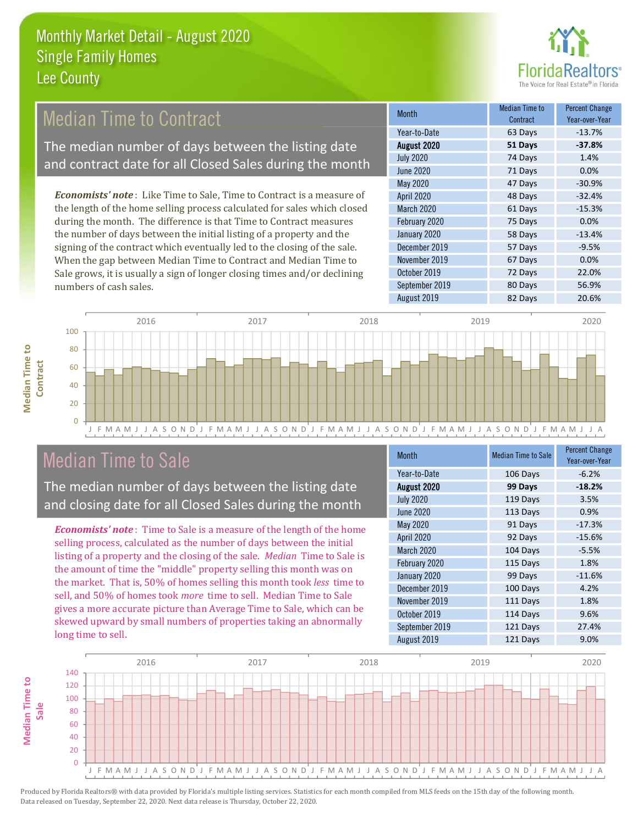

## **Median Time to Contract**

The median number of days between the listing date and contract date for all Closed Sales during the month

**Economists' note:** Like Time to Sale, Time to Contract is a measure of the length of the home selling process calculated for sales which closed during the month. The difference is that Time to Contract measures the number of days between the initial listing of a property and the signing of the contract which eventually led to the closing of the sale. When the gap between Median Time to Contract and Median Time to Sale grows, it is usually a sign of longer closing times and/or declining numbers of cash sales.

| Month            | Median Time to<br>Contract | <b>Percent Change</b><br>Year-over-Year |
|------------------|----------------------------|-----------------------------------------|
| Year-to-Date     | 63 Days                    | $-13.7%$                                |
| August 2020      | 51 Days                    | $-37.8%$                                |
| <b>July 2020</b> | 74 Days                    | 1.4%                                    |
| <b>June 2020</b> | 71 Days                    | 0.0%                                    |
| <b>May 2020</b>  | 47 Days                    | $-30.9%$                                |
| April 2020       | 48 Days                    | $-32.4%$                                |
| March 2020       | 61 Days                    | $-15.3%$                                |
| February 2020    | 75 Days                    | 0.0%                                    |
| January 2020     | 58 Days                    | $-13.4%$                                |
| December 2019    | 57 Days                    | $-9.5%$                                 |
| November 2019    | 67 Days                    | 0.0%                                    |
| October 2019     | 72 Days                    | 22.0%                                   |
| September 2019   | 80 Days                    | 56.9%                                   |
| August 2019      | 82 Days                    | 20.6%                                   |



## **Median Time to Sale**

**Median Time to** 

The median number of days between the listing date and closing date for all Closed Sales during the month

**Economists' note**: Time to Sale is a measure of the length of the home selling process, calculated as the number of days between the initial listing of a property and the closing of the sale. Median Time to Sale is the amount of time the "middle" property selling this month was on the market. That is, 50% of homes selling this month took less time to sell, and 50% of homes took more time to sell. Median Time to Sale gives a more accurate picture than Average Time to Sale, which can be skewed upward by small numbers of properties taking an abnormally long time to sell.

| <b>Month</b>     | <b>Median Time to Sale</b> | <b>Percent Change</b><br>Year-over-Year |
|------------------|----------------------------|-----------------------------------------|
| Year-to-Date     | 106 Days                   | $-6.2%$                                 |
| August 2020      | 99 Days                    | $-18.2%$                                |
| <b>July 2020</b> | 119 Days                   | 3.5%                                    |
| <b>June 2020</b> | 113 Days                   | 0.9%                                    |
| May 2020         | 91 Days                    | $-17.3%$                                |
| April 2020       | 92 Days                    | $-15.6%$                                |
| March 2020       | 104 Days                   | $-5.5%$                                 |
| February 2020    | 115 Days                   | 1.8%                                    |
| January 2020     | 99 Days                    | $-11.6%$                                |
| December 2019    | 100 Days                   | 4.2%                                    |
| November 2019    | 111 Days                   | 1.8%                                    |
| October 2019     | 114 Days                   | 9.6%                                    |
| September 2019   | 121 Days                   | 27.4%                                   |
| August 2019      | 121 Days                   | 9.0%                                    |

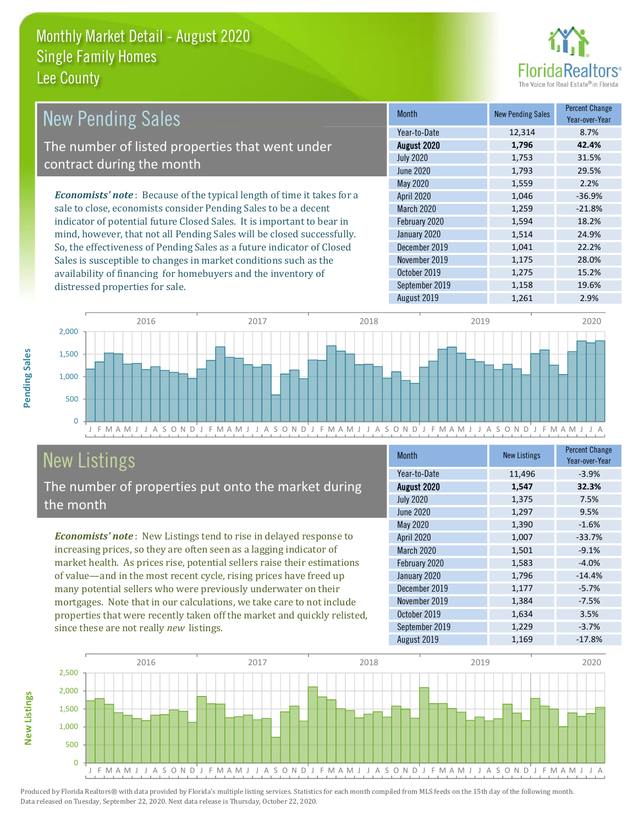

| <b>New Pending Sales</b>                                                      | <b>Month</b>      | <b>New Pending Sales</b> | <b>Percent Change</b><br>Year-over-Year |
|-------------------------------------------------------------------------------|-------------------|--------------------------|-----------------------------------------|
|                                                                               | Year-to-Date      | 12,314                   | 8.7%                                    |
| The number of listed properties that went under                               | August 2020       | 1,796                    | 42.4%                                   |
| contract during the month                                                     | <b>July 2020</b>  | 1,753                    | 31.5%                                   |
|                                                                               | June 2020         | 1,793                    | 29.5%                                   |
|                                                                               | May 2020          | 1,559                    | 2.2%                                    |
| <b>Economists' note:</b> Because of the typical length of time it takes for a | <b>April 2020</b> | 1,046                    | $-36.9%$                                |
| sale to close, economists consider Pending Sales to be a decent               | <b>March 2020</b> | 1,259                    | $-21.8%$                                |
| indicator of potential future Closed Sales. It is important to bear in        | February 2020     | 1,594                    | 18.2%                                   |
| mind, however, that not all Pending Sales will be closed successfully.        | January 2020      | 1,514                    | 24.9%                                   |
| So, the effectiveness of Pending Sales as a future indicator of Closed        | December 2019     | 1,041                    | 22.2%                                   |
| Sales is susceptible to changes in market conditions such as the              | November 2019     | 1,175                    | 28.0%                                   |
| availability of financing for homebuyers and the inventory of                 | October 2019      | 1,275                    | 15.2%                                   |



September 2019

## **New Listings**

Pending Sales

**New Listings** 

distressed properties for sale.

The number of properties put onto the market during the month

**Economists' note:** New Listings tend to rise in delayed response to increasing prices, so they are often seen as a lagging indicator of market health. As prices rise, potential sellers raise their estimations of value—and in the most recent cycle, rising prices have freed up many potential sellers who were previously underwater on their mortgages. Note that in our calculations, we take care to not include properties that were recently taken off the market and quickly relisted, since these are not really new listings.

| <b>Month</b>     | <b>New Listings</b> | <b>Percent Change</b><br>Year-over-Year |
|------------------|---------------------|-----------------------------------------|
| Year-to-Date     | 11,496              | $-3.9%$                                 |
| August 2020      | 1,547               | 32.3%                                   |
| <b>July 2020</b> | 1,375               | 7.5%                                    |
| <b>June 2020</b> | 1,297               | 9.5%                                    |
| May 2020         | 1,390               | $-1.6%$                                 |
| April 2020       | 1,007               | $-33.7%$                                |
| March 2020       | 1,501               | $-9.1%$                                 |
| February 2020    | 1,583               | $-4.0%$                                 |
| January 2020     | 1,796               | $-14.4%$                                |
| December 2019    | 1,177               | $-5.7%$                                 |
| November 2019    | 1,384               | $-7.5%$                                 |
| October 2019     | 1,634               | 3.5%                                    |
| September 2019   | 1,229               | $-3.7%$                                 |
| August 2019      | 1,169               | $-17.8%$                                |

1,158

19.6%

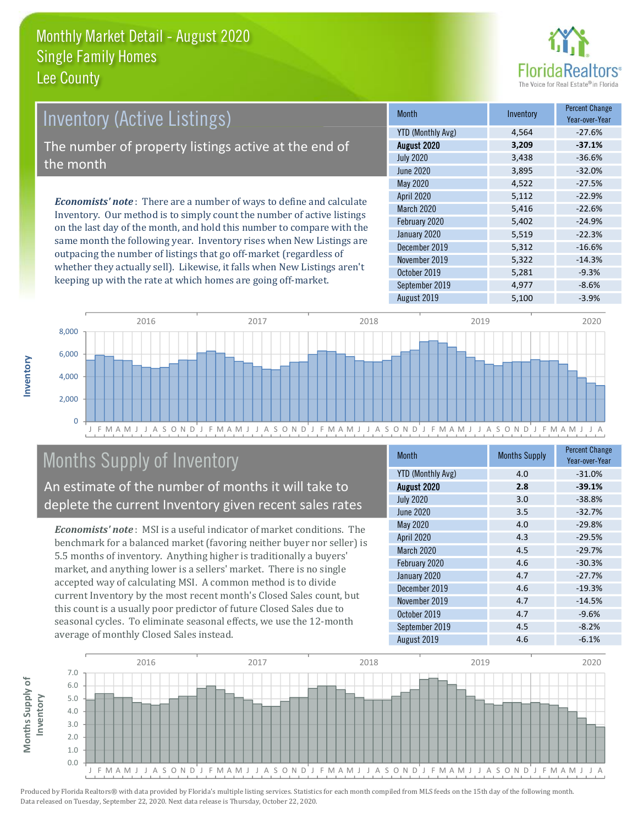

## **Inventory (Active Listings)** The number of property listings active at the end of the month

**Economists' note**: There are a number of ways to define and calculate Inventory. Our method is to simply count the number of active listings on the last day of the month, and hold this number to compare with the same month the following year. Inventory rises when New Listings are outpacing the number of listings that go off-market (regardless of whether they actually sell). Likewise, it falls when New Listings aren't keeping up with the rate at which homes are going off-market.

| <b>Month</b>             | Inventory | <b>Percent Change</b><br>Year-over-Year |
|--------------------------|-----------|-----------------------------------------|
| <b>YTD (Monthly Avg)</b> | 4,564     | $-27.6%$                                |
| August 2020              | 3,209     | $-37.1%$                                |
| <b>July 2020</b>         | 3,438     | $-36.6%$                                |
| <b>June 2020</b>         | 3,895     | $-32.0%$                                |
| May 2020                 | 4,522     | $-27.5%$                                |
| April 2020               | 5,112     | $-22.9%$                                |
| <b>March 2020</b>        | 5,416     | $-22.6%$                                |
| February 2020            | 5,402     | $-24.9%$                                |
| January 2020             | 5,519     | $-22.3%$                                |
| December 2019            | 5,312     | $-16.6%$                                |
| November 2019            | 5,322     | $-14.3%$                                |
| October 2019             | 5,281     | $-9.3%$                                 |
| September 2019           | 4,977     | $-8.6%$                                 |
| August 2019              | 5,100     | $-3.9%$                                 |



## **Months Supply of Inventory**

An estimate of the number of months it will take to deplete the current Inventory given recent sales rates

**Economists' note:** MSI is a useful indicator of market conditions. The benchmark for a balanced market (favoring neither buyer nor seller) is 5.5 months of inventory. Anything higher is traditionally a buyers' market, and anything lower is a sellers' market. There is no single accepted way of calculating MSI. A common method is to divide current Inventory by the most recent month's Closed Sales count, but this count is a usually poor predictor of future Closed Sales due to seasonal cycles. To eliminate seasonal effects, we use the 12-month average of monthly Closed Sales instead.

| Month                    | <b>Months Supply</b> | <b>Percent Change</b><br>Year-over-Year |
|--------------------------|----------------------|-----------------------------------------|
| <b>YTD (Monthly Avg)</b> | 4.0                  | $-31.0%$                                |
| August 2020              | 2.8                  | $-39.1%$                                |
| <b>July 2020</b>         | 3.0                  | $-38.8%$                                |
| <b>June 2020</b>         | 3.5                  | $-32.7%$                                |
| May 2020                 | 4.0                  | $-29.8%$                                |
| April 2020               | 4.3                  | $-29.5%$                                |
| <b>March 2020</b>        | 4.5                  | $-29.7%$                                |
| February 2020            | 4.6                  | $-30.3%$                                |
| January 2020             | 4.7                  | $-27.7%$                                |
| December 2019            | 4.6                  | $-19.3%$                                |
| November 2019            | 4.7                  | $-14.5%$                                |
| October 2019             | 4.7                  | $-9.6%$                                 |
| September 2019           | 4.5                  | $-8.2%$                                 |
| August 2019              | 4.6                  | $-6.1%$                                 |

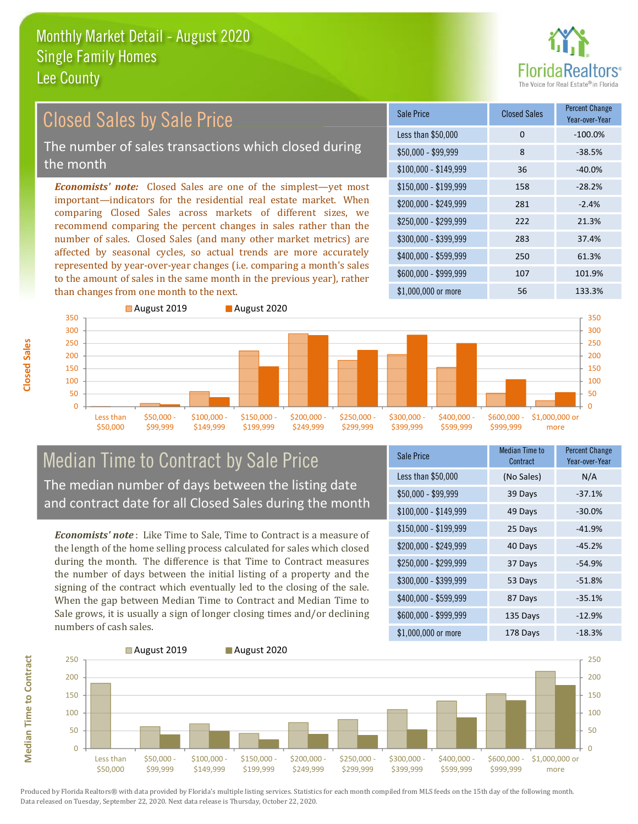

#### **Percent Change Closed Sales by Sale Price Closed Sales Sale Price** Year-over-Year Less than \$50,000  $\mathbf 0$  $-100.0%$ The number of sales transactions which closed during  $$50.000 - $99.999$  $\overline{8}$  $-38.5%$ the month  $$100,000 - $149,999$ 36  $-40.0%$ **Economists' note:** Closed Sales are one of the simplest—yet most \$150,000 - \$199.999 158  $-28.2%$ important-indicators for the residential real estate market. When \$200.000 - \$249.999 281  $-2.4%$ comparing Closed Sales across markets of different sizes, we \$250,000 - \$299.999  $222$ 21.3% recommend comparing the percent changes in sales rather than the number of sales. Closed Sales (and many other market metrics) are \$300,000 - \$399,999 283 37.4% affected by seasonal cycles, so actual trends are more accurately \$400,000 - \$599,999 250 61.3% represented by year-over-year changes (i.e. comparing a month's sales \$600.000 - \$999.999 107 101.9% to the amount of sales in the same month in the previous year), rather than changes from one month to the next. \$1,000,000 or more 56 133.3%



### **Median Time to Contract by Sale Price** The median number of days between the listing date and contract date for all Closed Sales during the month

**Economists' note**: Like Time to Sale. Time to Contract is a measure of the length of the home selling process calculated for sales which closed during the month. The difference is that Time to Contract measures the number of days between the initial listing of a property and the signing of the contract which eventually led to the closing of the sale. When the gap between Median Time to Contract and Median Time to Sale grows, it is usually a sign of longer closing times and/or declining numbers of cash sales.

| Sale Price            | <b>Median Time to</b><br>Contract | <b>Percent Change</b><br>Year-over-Year |
|-----------------------|-----------------------------------|-----------------------------------------|
| Less than \$50,000    | (No Sales)                        | N/A                                     |
| $$50,000 - $99,999$   | 39 Days                           | $-37.1%$                                |
| $$100,000 - $149,999$ | 49 Days                           | $-30.0%$                                |
| $$150,000 - $199,999$ | 25 Days                           | $-41.9%$                                |
| \$200,000 - \$249,999 | 40 Days                           | $-45.2%$                                |
| \$250,000 - \$299,999 | 37 Days                           | $-54.9%$                                |
| \$300,000 - \$399,999 | 53 Days                           | $-51.8%$                                |
| \$400,000 - \$599,999 | 87 Days                           | $-35.1%$                                |
| \$600,000 - \$999,999 | 135 Days                          | $-12.9%$                                |
| $$1$ 000 000 or more  | $178$ Dave                        | $-18.3%$                                |



Produced by Florida Realtors® with data provided by Florida's multiple listing services. Statistics for each month compiled from MLS feeds on the 15th day of the following month. Data released on Tuesday, September 22, 2020. Next data release is Thursday, October 22, 2020.

**Median Time to Contract**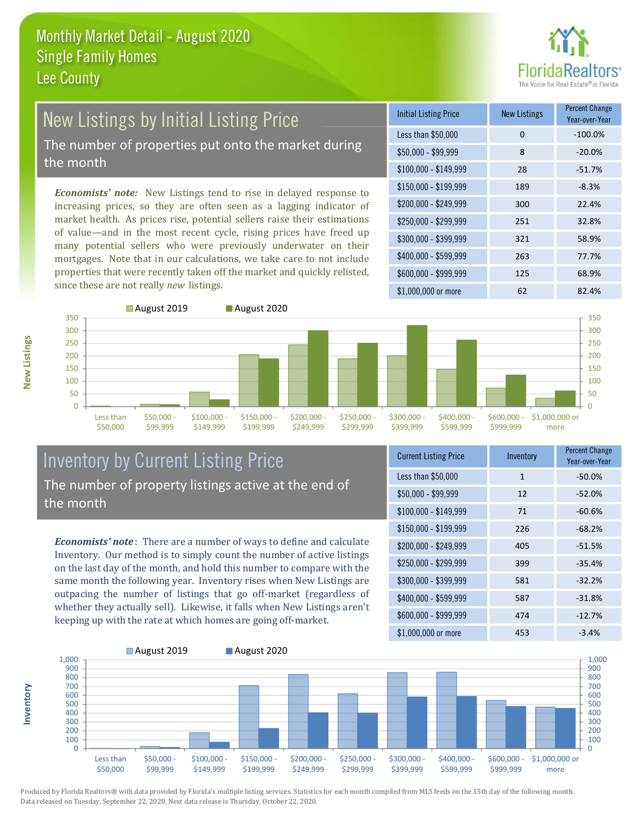

## **New Listings by Initial Listing Price** The number of properties put onto the market during

the month

Economists' note: New Listings tend to rise in delayed response to increasing prices, so they are often seen as a lagging indicator of market health. As prices rise, potential sellers raise their estimations of value—and in the most recent cycle, rising prices have freed up many potential sellers who were previously underwater on their mortgages. Note that in our calculations, we take care to not include properties that were recently taken off the market and quickly relisted, since these are not really new listings.

| <b>Initial Listing Price</b> | <b>New Listings</b> | <b>Percent Change</b><br>Year-over-Year |
|------------------------------|---------------------|-----------------------------------------|
| Less than \$50,000           | 0                   | $-100.0%$                               |
| $$50,000 - $99,999$          | 8                   | $-20.0%$                                |
| $$100,000 - $149,999$        | 28                  | $-51.7%$                                |
| $$150,000 - $199,999$        | 189                 | $-8.3%$                                 |
| \$200,000 - \$249,999        | 300                 | 22.4%                                   |
| \$250,000 - \$299,999        | 251                 | 32.8%                                   |
| \$300,000 - \$399,999        | 321                 | 58.9%                                   |
| \$400,000 - \$599,999        | 263                 | 77.7%                                   |
| \$600,000 - \$999,999        | 125                 | 68.9%                                   |
| $$1.000.000$ or more         | 62                  | 82.4%                                   |



#### **Inventory by Current Listing Price** The number of property listings active at the end of the month

**Economists' note**: There are a number of ways to define and calculate Inventory. Our method is to simply count the number of active listings on the last day of the month, and hold this number to compare with the same month the following year. Inventory rises when New Listings are outpacing the number of listings that go off-market (regardless of whether they actually sell). Likewise, it falls when New Listings aren't keeping up with the rate at which homes are going off-market.

| <b>Current Listing Price</b> | Inventory | <b>I CILCIIL UTIQIIKE</b><br>Year-over-Year |
|------------------------------|-----------|---------------------------------------------|
| Less than \$50,000           | 1         | $-50.0%$                                    |
| $$50,000 - $99,999$          | 12        | $-52.0%$                                    |
| $$100,000 - $149,999$        | 71        | $-60.6%$                                    |
| \$150,000 - \$199,999        | 226       | $-68.2%$                                    |
| \$200,000 - \$249,999        | 405       | $-51.5%$                                    |
| \$250,000 - \$299,999        | 399       | $-35.4%$                                    |
| \$300,000 - \$399,999        | 581       | $-32.2%$                                    |
| \$400,000 - \$599,999        | 587       | $-31.8%$                                    |
| \$600,000 - \$999,999        | 474       | $-12.7%$                                    |
| ዩ1 በበበ በበበ or more           | 453       | $-3.4\%$                                    |



Produced by Florida Realtors® with data provided by Florida's multiple listing services. Statistics for each month compiled from MLS feeds on the 15th day of the following month. Data released on Tuesday, September 22, 2020. Next data release is Thursday, October 22, 2020.

nventory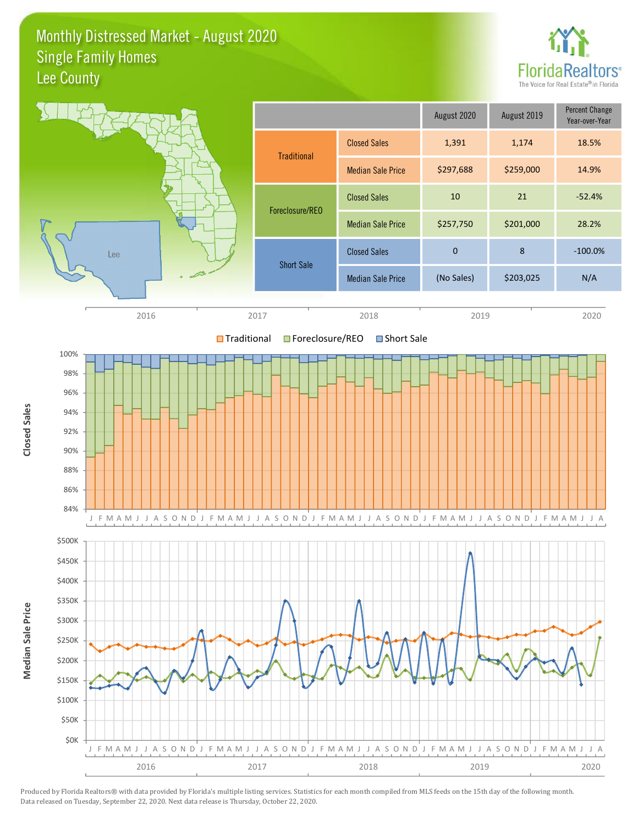#### Monthly Distressed Market - August 2020 **Single Family Homes** Lee County



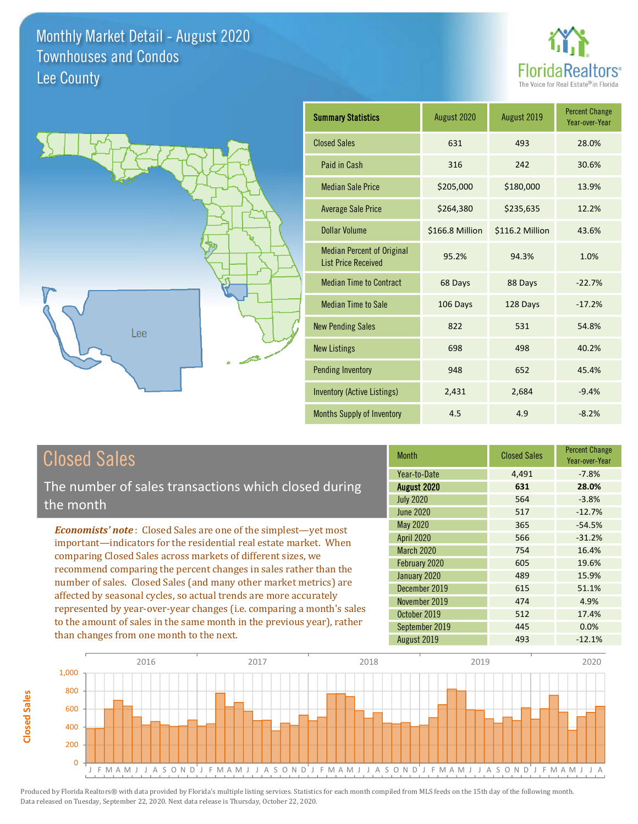



| <b>Summary Statistics</b>                                       | August 2020     | August 2019     | <b>Percent Change</b><br>Year-over-Year |
|-----------------------------------------------------------------|-----------------|-----------------|-----------------------------------------|
| <b>Closed Sales</b>                                             | 631             | 493             | 28.0%                                   |
| Paid in Cash                                                    | 316             | 242             | 30.6%                                   |
| <b>Median Sale Price</b>                                        | \$205,000       | \$180,000       | 13.9%                                   |
| <b>Average Sale Price</b>                                       | \$264,380       | \$235,635       | 12.2%                                   |
| <b>Dollar Volume</b>                                            | \$166.8 Million | \$116.2 Million | 43.6%                                   |
| <b>Median Percent of Original</b><br><b>List Price Received</b> | 95.2%           | 94.3%           | 1.0%                                    |
| <b>Median Time to Contract</b>                                  | 68 Days         | 88 Days         | $-22.7%$                                |
| <b>Median Time to Sale</b>                                      | 106 Days        | 128 Days        | $-17.2%$                                |
| <b>New Pending Sales</b>                                        | 822             | 531             | 54.8%                                   |
| <b>New Listings</b>                                             | 698             | 498             | 40.2%                                   |
| <b>Pending Inventory</b>                                        | 948             | 652             | 45.4%                                   |
| <b>Inventory (Active Listings)</b>                              | 2,431           | 2,684           | $-9.4%$                                 |
| <b>Months Supply of Inventory</b>                               | 4.5             | 4.9             | $-8.2%$                                 |

## **Closed Sales**

**Closed Sales** 

The number of sales transactions which closed during the month

**Economists' note:** Closed Sales are one of the simplest-yet most important-indicators for the residential real estate market. When comparing Closed Sales across markets of different sizes, we recommend comparing the percent changes in sales rather than the number of sales. Closed Sales (and many other market metrics) are affected by seasonal cycles, so actual trends are more accurately represented by year-over-year changes (i.e. comparing a month's sales to the amount of sales in the same month in the previous year), rather than changes from one month to the next.

| <b>Month</b>      | <b>Closed Sales</b> | <b>Percent Change</b><br>Year-over-Year |
|-------------------|---------------------|-----------------------------------------|
| Year-to-Date      | 4,491               | $-7.8%$                                 |
| August 2020       | 631                 | 28.0%                                   |
| <b>July 2020</b>  | 564                 | $-3.8%$                                 |
| <b>June 2020</b>  | 517                 | $-12.7%$                                |
| <b>May 2020</b>   | 365                 | $-54.5%$                                |
| <b>April 2020</b> | 566                 | $-31.2%$                                |
| <b>March 2020</b> | 754                 | 16.4%                                   |
| February 2020     | 605                 | 19.6%                                   |
| January 2020      | 489                 | 15.9%                                   |
| December 2019     | 615                 | 51.1%                                   |
| November 2019     | 474                 | 4.9%                                    |
| October 2019      | 512                 | 17.4%                                   |
| September 2019    | 445                 | 0.0%                                    |
| August 2019       | 493                 | $-12.1%$                                |

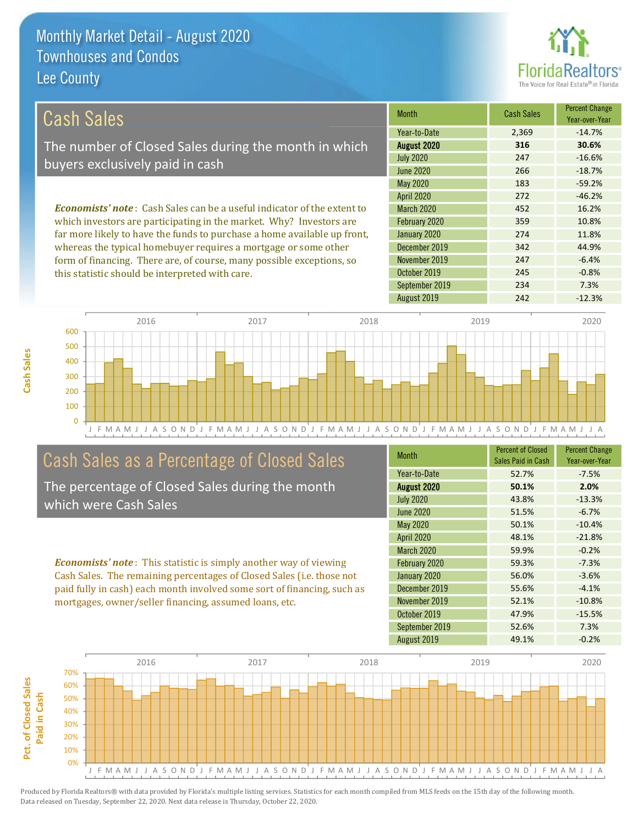this statistic should be interpreted with care.



 $-0.8%$ 

7.3%

 $-12.3%$ 

| Cash Sales                                                                     | <b>Month</b>      | <b>Cash Sales</b> | <b>Percent Change</b><br>Year-over-Year |
|--------------------------------------------------------------------------------|-------------------|-------------------|-----------------------------------------|
|                                                                                | Year-to-Date      | 2,369             | $-14.7%$                                |
| The number of Closed Sales during the month in which                           | August 2020       | 316               | 30.6%                                   |
| buyers exclusively paid in cash                                                | <b>July 2020</b>  | 247               | $-16.6%$                                |
|                                                                                | June 2020         | 266               | $-18.7%$                                |
|                                                                                | May 2020          | 183               | $-59.2%$                                |
|                                                                                | April 2020        | 272               | $-46.2%$                                |
| <b>Economists' note:</b> Cash Sales can be a useful indicator of the extent to | <b>March 2020</b> | 452               | 16.2%                                   |
| which investors are participating in the market. Why? Investors are            | February 2020     | 359               | 10.8%                                   |
| far more likely to have the funds to purchase a home available up front,       | January 2020      | 274               | 11.8%                                   |
| whereas the typical homebuyer requires a mortgage or some other                | December 2019     | 342               | 44.9%                                   |
| form of financing. There are of course many possible exceptions so             | November 2019     | 247               | $-6.4%$                                 |

October 2019

August 2019

September 2019



## Cash Sales as a Percentage of Closed Sales

The percentage of Closed Sales during the month which were Cash Sales

**Economists' note:** This statistic is simply another way of viewing Cash Sales. The remaining percentages of Closed Sales (i.e. those not paid fully in cash) each month involved some sort of financing, such as mortgages, owner/seller financing, assumed loans, etc.

| Month             | <b>Percent of Closed</b><br>Sales Paid in Cash | <b>Percent Change</b><br>Year-over-Year |
|-------------------|------------------------------------------------|-----------------------------------------|
| Year-to-Date      | 52.7%                                          | $-7.5%$                                 |
| August 2020       | 50.1%                                          | 2.0%                                    |
| <b>July 2020</b>  | 43.8%                                          | $-13.3%$                                |
| <b>June 2020</b>  | 51.5%                                          | $-6.7%$                                 |
| May 2020          | 50.1%                                          | $-10.4%$                                |
| April 2020        | 48.1%                                          | $-21.8%$                                |
| <b>March 2020</b> | 59.9%                                          | $-0.2%$                                 |
| February 2020     | 59.3%                                          | $-7.3%$                                 |
| January 2020      | 56.0%                                          | $-3.6%$                                 |
| December 2019     | 55.6%                                          | $-4.1%$                                 |
| November 2019     | 52.1%                                          | $-10.8%$                                |
| October 2019      | 47.9%                                          | $-15.5%$                                |
| September 2019    | 52.6%                                          | 7.3%                                    |
| August 2019       | 49.1%                                          | $-0.2%$                                 |

245

234

242



Cash Sales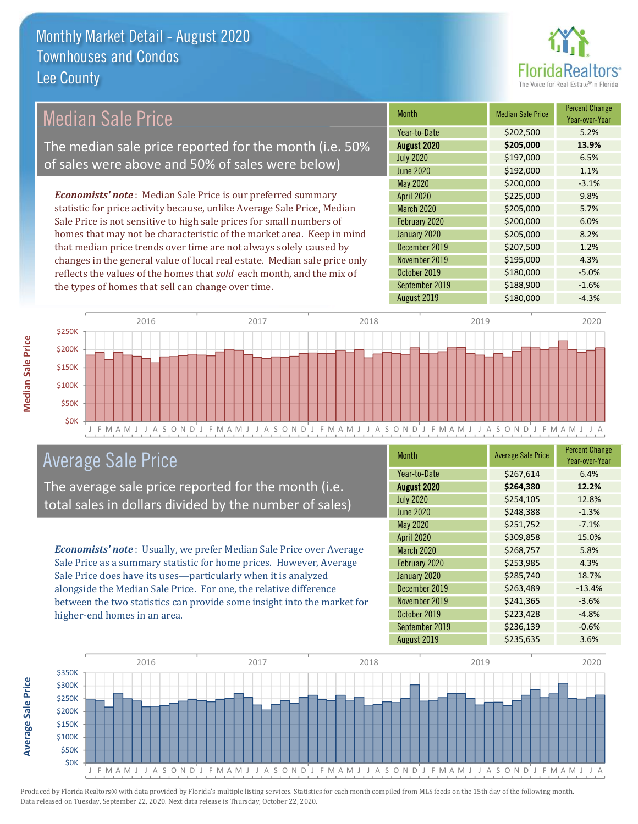

## **Median Sale Price**

The median sale price reported for the month (i.e. 50% of sales were above and 50% of sales were below)

**Economists' note:** Median Sale Price is our preferred summary statistic for price activity because, unlike Average Sale Price, Median Sale Price is not sensitive to high sale prices for small numbers of homes that may not be characteristic of the market area. Keep in mind that median price trends over time are not always solely caused by changes in the general value of local real estate. Median sale price only reflects the values of the homes that sold each month, and the mix of the types of homes that sell can change over time.

| <b>Month</b>      | <b>Median Sale Price</b> | <b>Percent Change</b><br>Year-over-Year |
|-------------------|--------------------------|-----------------------------------------|
| Year-to-Date      | \$202,500                | 5.2%                                    |
| August 2020       | \$205,000                | 13.9%                                   |
| <b>July 2020</b>  | \$197,000                | 6.5%                                    |
| <b>June 2020</b>  | \$192,000                | 1.1%                                    |
| May 2020          | \$200,000                | $-3.1%$                                 |
| <b>April 2020</b> | \$225,000                | 9.8%                                    |
| March 2020        | \$205,000                | 5.7%                                    |
| February 2020     | \$200,000                | 6.0%                                    |
| January 2020      | \$205,000                | 8.2%                                    |
| December 2019     | \$207,500                | 1.2%                                    |
| November 2019     | \$195,000                | 4.3%                                    |
| October 2019      | \$180,000                | $-5.0%$                                 |
| September 2019    | \$188,900                | $-1.6%$                                 |
| August 2019       | \$180,000                | $-4.3%$                                 |



## **Average Sale Price**

The average sale price reported for the month (i.e. total sales in dollars divided by the number of sales)

Economists' note: Usually, we prefer Median Sale Price over Average Sale Price as a summary statistic for home prices. However, Average Sale Price does have its uses-particularly when it is analyzed alongside the Median Sale Price. For one, the relative difference between the two statistics can provide some insight into the market for higher-end homes in an area.

| <b>Month</b>      | <b>Average Sale Price</b> | <b>Percent Change</b><br>Year-over-Year |
|-------------------|---------------------------|-----------------------------------------|
| Year-to-Date      | \$267,614                 | 6.4%                                    |
| August 2020       | \$264,380                 | 12.2%                                   |
| <b>July 2020</b>  | \$254,105                 | 12.8%                                   |
| <b>June 2020</b>  | \$248,388                 | $-1.3%$                                 |
| May 2020          | \$251,752                 | $-7.1%$                                 |
| April 2020        | \$309,858                 | 15.0%                                   |
| <b>March 2020</b> | \$268,757                 | 5.8%                                    |
| February 2020     | \$253,985                 | 4.3%                                    |
| January 2020      | \$285,740                 | 18.7%                                   |
| December 2019     | \$263,489                 | $-13.4%$                                |
| November 2019     | \$241,365                 | $-3.6%$                                 |
| October 2019      | \$223,428                 | $-4.8%$                                 |
| September 2019    | \$236,139                 | $-0.6%$                                 |
| August 2019       | \$235,635                 | 3.6%                                    |



**Average Sale Price** 

**Median Sale Price**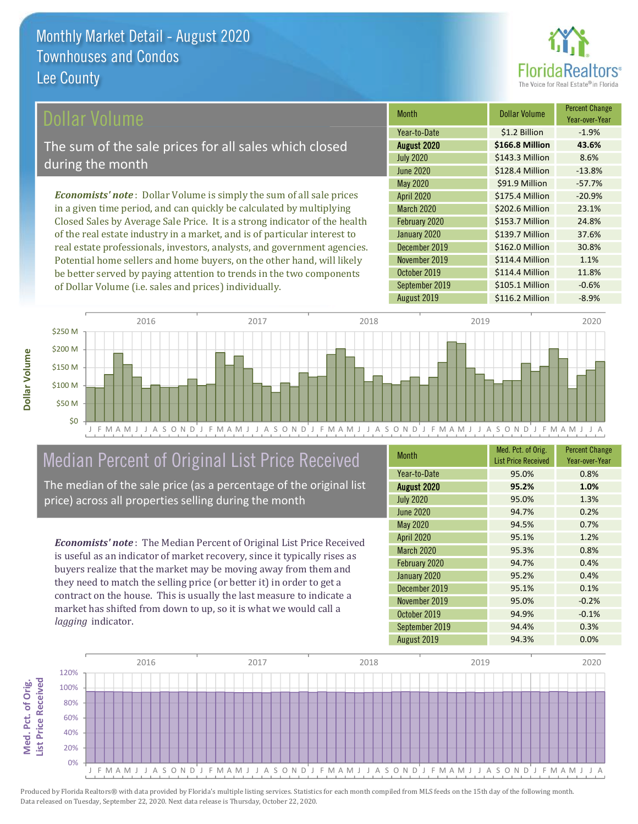

### ollar Volume

The sum of the sale prices for all sales which closed during the month

**Economists' note**: Dollar Volume is simply the sum of all sale prices in a given time period, and can quickly be calculated by multiplying Closed Sales by Average Sale Price. It is a strong indicator of the health of the real estate industry in a market, and is of particular interest to real estate professionals, investors, analysts, and government agencies. Potential home sellers and home buyers, on the other hand, will likely be better served by paying attention to trends in the two components of Dollar Volume (i.e. sales and prices) individually.

| <b>Month</b>      | Dollar Volume   | <b>Percent Change</b><br>Year-over-Year |
|-------------------|-----------------|-----------------------------------------|
| Year-to-Date      | \$1.2 Billion   | $-1.9%$                                 |
| August 2020       | \$166.8 Million | 43.6%                                   |
| <b>July 2020</b>  | \$143.3 Million | 8.6%                                    |
| <b>June 2020</b>  | \$128.4 Million | $-13.8%$                                |
| <b>May 2020</b>   | \$91.9 Million  | $-57.7%$                                |
| <b>April 2020</b> | \$175.4 Million | $-20.9%$                                |
| <b>March 2020</b> | \$202.6 Million | 23.1%                                   |
| February 2020     | \$153.7 Million | 24.8%                                   |
| January 2020      | \$139.7 Million | 37.6%                                   |
| December 2019     | \$162.0 Million | 30.8%                                   |
| November 2019     | \$114.4 Million | 1.1%                                    |
| October 2019      | \$114.4 Million | 11.8%                                   |
| September 2019    | \$105.1 Million | $-0.6%$                                 |
| August 2019       | \$116.2 Million | $-8.9%$                                 |



## Median Percent of Original List Price Received

The median of the sale price (as a percentage of the original list price) across all properties selling during the month

**Economists' note:** The Median Percent of Original List Price Received is useful as an indicator of market recovery, since it typically rises as buyers realize that the market may be moving away from them and they need to match the selling price (or better it) in order to get a contract on the house. This is usually the last measure to indicate a market has shifted from down to up, so it is what we would call a lagging indicator.

| <b>Month</b>      | Med. Pct. of Orig.<br><b>List Price Received</b> | <b>Percent Change</b><br>Year-over-Year |
|-------------------|--------------------------------------------------|-----------------------------------------|
| Year-to-Date      | 95.0%                                            | 0.8%                                    |
| August 2020       | 95.2%                                            | 1.0%                                    |
| <b>July 2020</b>  | 95.0%                                            | 1.3%                                    |
| <b>June 2020</b>  | 94.7%                                            | 0.2%                                    |
| May 2020          | 94.5%                                            | 0.7%                                    |
| <b>April 2020</b> | 95.1%                                            | 1.2%                                    |
| <b>March 2020</b> | 95.3%                                            | 0.8%                                    |
| February 2020     | 94.7%                                            | 0.4%                                    |
| January 2020      | 95.2%                                            | 0.4%                                    |
| December 2019     | 95.1%                                            | 0.1%                                    |
| November 2019     | 95.0%                                            | $-0.2%$                                 |
| October 2019      | 94.9%                                            | $-0.1%$                                 |
| September 2019    | 94.4%                                            | 0.3%                                    |
| August 2019       | 94.3%                                            | 0.0%                                    |

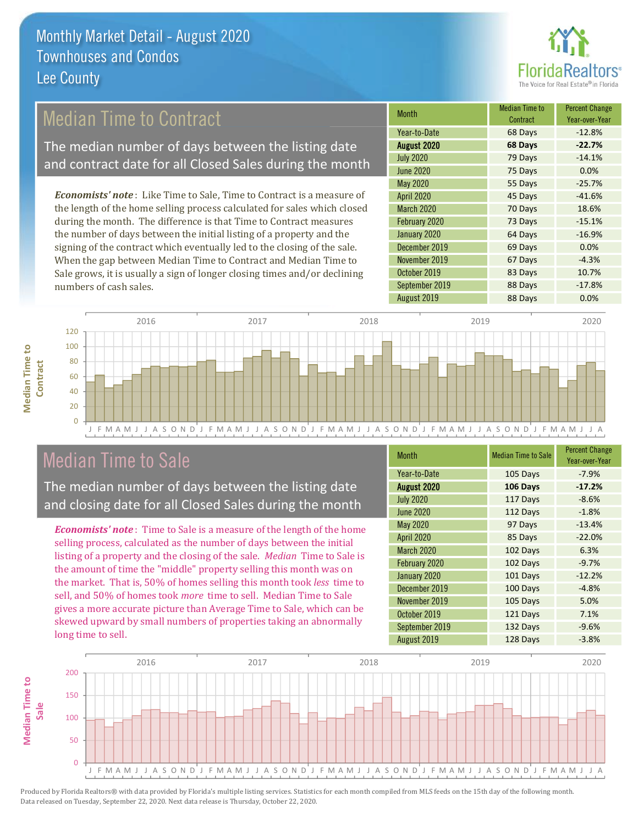

## **Median Time to Contract**

The median number of days between the listing date and contract date for all Closed Sales during the month

**Economists' note:** Like Time to Sale, Time to Contract is a measure of the length of the home selling process calculated for sales which closed during the month. The difference is that Time to Contract measures the number of days between the initial listing of a property and the signing of the contract which eventually led to the closing of the sale. When the gap between Median Time to Contract and Median Time to Sale grows, it is usually a sign of longer closing times and/or declining numbers of cash sales.

| <b>Month</b>      | <b>Median Time to</b><br>Contract | <b>Percent Change</b><br>Year-over-Year |
|-------------------|-----------------------------------|-----------------------------------------|
| Year-to-Date      | 68 Days                           | $-12.8%$                                |
| August 2020       | 68 Days                           | $-22.7%$                                |
| <b>July 2020</b>  | 79 Days                           | $-14.1%$                                |
| <b>June 2020</b>  | 75 Days                           | 0.0%                                    |
| <b>May 2020</b>   | 55 Days                           | $-25.7%$                                |
| <b>April 2020</b> | 45 Days                           | $-41.6%$                                |
| March 2020        | 70 Days                           | 18.6%                                   |
| February 2020     | 73 Days                           | $-15.1%$                                |
| January 2020      | 64 Days                           | $-16.9%$                                |
| December 2019     | 69 Days                           | 0.0%                                    |
| November 2019     | 67 Days                           | $-4.3%$                                 |
| October 2019      | 83 Days                           | 10.7%                                   |
| September 2019    | 88 Days                           | $-17.8%$                                |
| August 2019       | 88 Days                           | 0.0%                                    |



## **Median Time to Sale**

**Median Time to** 

Contract

The median number of days between the listing date and closing date for all Closed Sales during the month

**Economists' note**: Time to Sale is a measure of the length of the home selling process, calculated as the number of days between the initial listing of a property and the closing of the sale. Median Time to Sale is the amount of time the "middle" property selling this month was on the market. That is, 50% of homes selling this month took less time to sell, and 50% of homes took more time to sell. Median Time to Sale gives a more accurate picture than Average Time to Sale, which can be skewed upward by small numbers of properties taking an abnormally long time to sell.

| <b>Month</b>     | <b>Median Time to Sale</b> | <b>Percent Change</b><br>Year-over-Year |
|------------------|----------------------------|-----------------------------------------|
| Year-to-Date     | 105 Days                   | $-7.9%$                                 |
| August 2020      | 106 Days                   | $-17.2%$                                |
| <b>July 2020</b> | 117 Days                   | $-8.6%$                                 |
| <b>June 2020</b> | 112 Days                   | $-1.8%$                                 |
| May 2020         | 97 Days                    | $-13.4%$                                |
| April 2020       | 85 Days                    | $-22.0%$                                |
| March 2020       | 102 Days                   | 6.3%                                    |
| February 2020    | 102 Days                   | $-9.7%$                                 |
| January 2020     | 101 Days                   | $-12.2%$                                |
| December 2019    | 100 Days                   | $-4.8%$                                 |
| November 2019    | 105 Days                   | 5.0%                                    |
| October 2019     | 121 Days                   | 7.1%                                    |
| September 2019   | 132 Days                   | $-9.6%$                                 |
| August 2019      | 128 Days                   | $-3.8%$                                 |

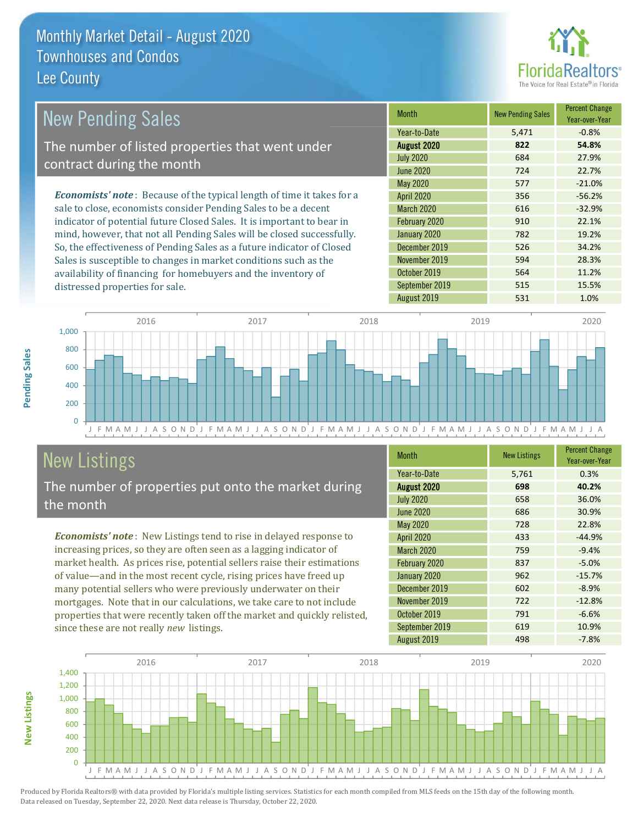

| <b>New Pending Sales</b>                                                       | <b>Month</b>      | <b>New Pending Sales</b> | <b>Percent Change</b><br>Year-over-Year |
|--------------------------------------------------------------------------------|-------------------|--------------------------|-----------------------------------------|
|                                                                                | Year-to-Date      | 5,471                    | $-0.8%$                                 |
| The number of listed properties that went under                                | August 2020       | 822                      | 54.8%                                   |
| contract during the month                                                      | <b>July 2020</b>  | 684                      | 27.9%                                   |
|                                                                                | June 2020         | 724                      | 22.7%                                   |
|                                                                                | <b>May 2020</b>   | 577                      | $-21.0%$                                |
| <b>Economists' note</b> : Because of the typical length of time it takes for a | <b>April 2020</b> | 356                      | $-56.2%$                                |
| sale to close, economists consider Pending Sales to be a decent                | <b>March 2020</b> | 616                      | $-32.9%$                                |
| indicator of potential future Closed Sales. It is important to bear in         | February 2020     | 910                      | 22.1%                                   |
| mind, however, that not all Pending Sales will be closed successfully.         | January 2020      | 782                      | 19.2%                                   |
| So, the effectiveness of Pending Sales as a future indicator of Closed         | December 2019     | 526                      | 34.2%                                   |
| Sales is susceptible to changes in market conditions such as the               | November 2019     | 594                      | 28.3%                                   |
| availability of financing for homebuyers and the inventory of                  | October 2019      | 564                      | 11.2%                                   |



September 2019

August 2019

## **New Listings**

distressed properties for sale.

The number of properties put onto the market during the month

Economists' note: New Listings tend to rise in delayed response to increasing prices, so they are often seen as a lagging indicator of market health. As prices rise, potential sellers raise their estimations of value—and in the most recent cycle, rising prices have freed up many potential sellers who were previously underwater on their mortgages. Note that in our calculations, we take care to not include properties that were recently taken off the market and quickly relisted, since these are not really new listings.

| <b>Month</b>     | <b>New Listings</b> | <b>Percent Change</b><br>Year-over-Year |
|------------------|---------------------|-----------------------------------------|
| Year-to-Date     | 5,761               | 0.3%                                    |
| August 2020      | 698                 | 40.2%                                   |
| <b>July 2020</b> | 658                 | 36.0%                                   |
| <b>June 2020</b> | 686                 | 30.9%                                   |
| <b>May 2020</b>  | 728                 | 22.8%                                   |
| April 2020       | 433                 | $-44.9%$                                |
| March 2020       | 759                 | $-9.4%$                                 |
| February 2020    | 837                 | $-5.0%$                                 |
| January 2020     | 962                 | $-15.7%$                                |
| December 2019    | 602                 | $-8.9%$                                 |
| November 2019    | 722                 | $-12.8%$                                |
| October 2019     | 791                 | $-6.6%$                                 |
| September 2019   | 619                 | 10.9%                                   |
| August 2019      | 498                 | $-7.8%$                                 |

515

531

15.5%

1.0%



Produced by Florida Realtors® with data provided by Florida's multiple listing services. Statistics for each month compiled from MLS feeds on the 15th day of the following month. Data released on Tuesday, September 22, 2020. Next data release is Thursday, October 22, 2020.

**New Listings**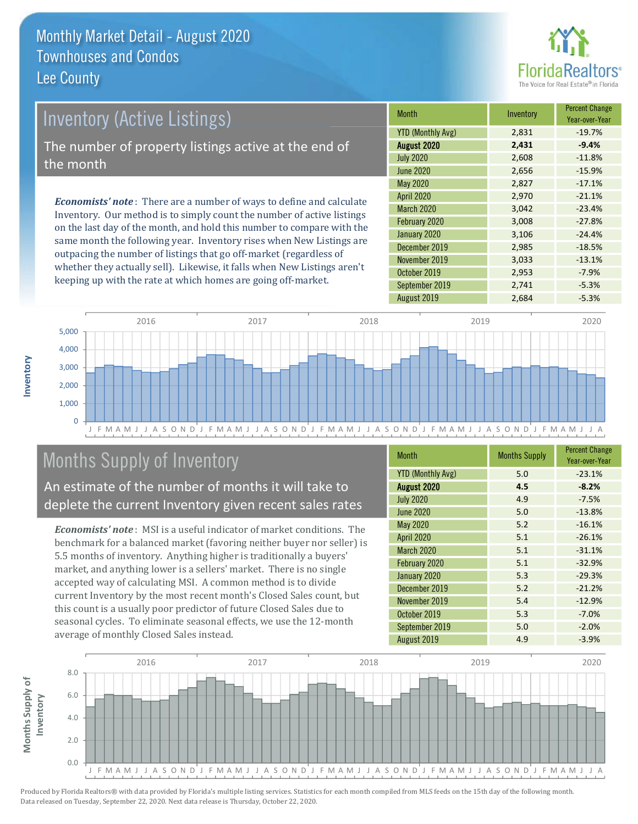

# **Inventory (Active Listings)** The number of property listings active at the end of the month

**Economists' note**: There are a number of ways to define and calculate Inventory. Our method is to simply count the number of active listings on the last day of the month, and hold this number to compare with the same month the following year. Inventory rises when New Listings are outpacing the number of listings that go off-market (regardless of whether they actually sell). Likewise, it falls when New Listings aren't keeping up with the rate at which homes are going off-market.

| <b>Month</b>             | Inventory | <b>Percent Change</b><br>Year-over-Year |
|--------------------------|-----------|-----------------------------------------|
| <b>YTD (Monthly Avg)</b> | 2,831     | $-19.7%$                                |
| <b>August 2020</b>       | 2,431     | $-9.4%$                                 |
| <b>July 2020</b>         | 2,608     | $-11.8%$                                |
| <b>June 2020</b>         | 2,656     | $-15.9%$                                |
| May 2020                 | 2,827     | $-17.1%$                                |
| <b>April 2020</b>        | 2,970     | $-21.1%$                                |
| March 2020               | 3,042     | $-23.4%$                                |
| February 2020            | 3,008     | $-27.8%$                                |
| January 2020             | 3,106     | $-24.4%$                                |
| December 2019            | 2,985     | $-18.5%$                                |
| November 2019            | 3,033     | $-13.1%$                                |
| October 2019             | 2,953     | $-7.9%$                                 |
| September 2019           | 2,741     | $-5.3%$                                 |
| August 2019              | 2,684     | $-5.3%$                                 |



## Months Supply of Inventory

An estimate of the number of months it will take to deplete the current Inventory given recent sales rates

**Economists' note:** MSI is a useful indicator of market conditions. The benchmark for a balanced market (favoring neither buyer nor seller) is 5.5 months of inventory. Anything higher is traditionally a buyers' market, and anything lower is a sellers' market. There is no single accepted way of calculating MSI. A common method is to divide current Inventory by the most recent month's Closed Sales count, but this count is a usually poor predictor of future Closed Sales due to seasonal cycles. To eliminate seasonal effects, we use the 12-month average of monthly Closed Sales instead.

| <b>Month</b>             | <b>Months Supply</b> | <b>Percent Change</b><br>Year-over-Year |
|--------------------------|----------------------|-----------------------------------------|
| <b>YTD (Monthly Avg)</b> | 5.0                  | $-23.1%$                                |
| August 2020              | 4.5                  | $-8.2%$                                 |
| <b>July 2020</b>         | 4.9                  | $-7.5%$                                 |
| <b>June 2020</b>         | 5.0                  | $-13.8%$                                |
| May 2020                 | 5.2                  | $-16.1%$                                |
| <b>April 2020</b>        | 5.1                  | $-26.1%$                                |
| March 2020               | 5.1                  | $-31.1%$                                |
| February 2020            | 5.1                  | $-32.9%$                                |
| January 2020             | 5.3                  | $-29.3%$                                |
| December 2019            | 5.2                  | $-21.2%$                                |
| November 2019            | 5.4                  | $-12.9%$                                |
| October 2019             | 5.3                  | $-7.0%$                                 |
| September 2019           | 5.0                  | $-2.0%$                                 |
| August 2019              | 4.9                  | $-3.9%$                                 |

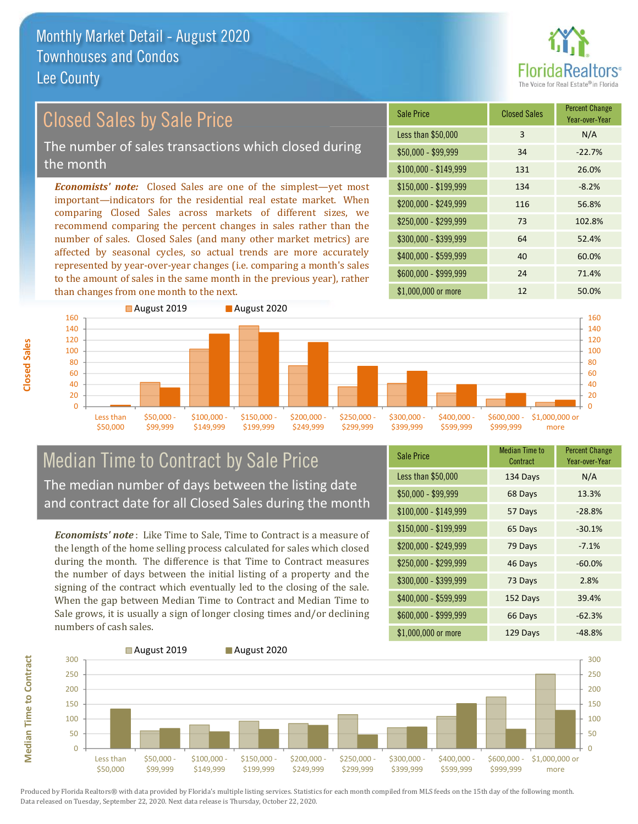

**Percent Change** 

Year-over-Year

#### **Closed Sales by Sale Price Sale Price** Less than \$50,000 The number of sales transactions which closed during  $$50.000 - $99.999$ the month  $$100,000 - $149,999$ **Economists' note:** Closed Sales are one of the simplest—yet most \$150,000 - \$199.999 important-indicators for the residential real estate market. When \$200.000 - \$249.999 comparing Closed Sales across markets of different sizes, we  $$250.000 - $299.999$ recommend comparing the percent changes in sales rather than the number of sales. Closed Sales (and many other market metrics) are \$300,000 - \$399,999

affected by seasonal cycles, so actual trends are more accurately represented by year-over-year changes (i.e. comparing a month's sales to the amount of sales in the same month in the previous year), rather than changes from one month to the next.



**Closed Sales** 



#### **Median Time to Contract by Sale Price** The median number of days between the listing date and contract date for all Closed Sales during the month

**Economists' note**: Like Time to Sale. Time to Contract is a measure of the length of the home selling process calculated for sales which closed during the month. The difference is that Time to Contract measures the number of days between the initial listing of a property and the signing of the contract which eventually led to the closing of the sale. When the gap between Median Time to Contract and Median Time to Sale grows, it is usually a sign of longer closing times and/or declining numbers of cash sales.

| <b>Sale Price</b>     | <b>Median Time to</b><br>Contract | <b>Percent Change</b><br>Year-over-Year |
|-----------------------|-----------------------------------|-----------------------------------------|
| Less than \$50,000    | 134 Days                          | N/A                                     |
| $$50,000 - $99,999$   | 68 Days                           | 13.3%                                   |
| $$100,000 - $149,999$ | 57 Days                           | $-28.8%$                                |
| \$150,000 - \$199,999 | 65 Days                           | $-30.1%$                                |
| \$200,000 - \$249,999 | 79 Days                           | $-7.1%$                                 |
| \$250,000 - \$299,999 | 46 Days                           | $-60.0%$                                |
| \$300,000 - \$399,999 | 73 Days                           | 2.8%                                    |
| \$400,000 - \$599,999 | 152 Days                          | 39.4%                                   |
| \$600,000 - \$999,999 | 66 Days                           | $-62.3%$                                |
| \$1,000,000 or more   | 129 Davs                          | $-48.8\%$                               |

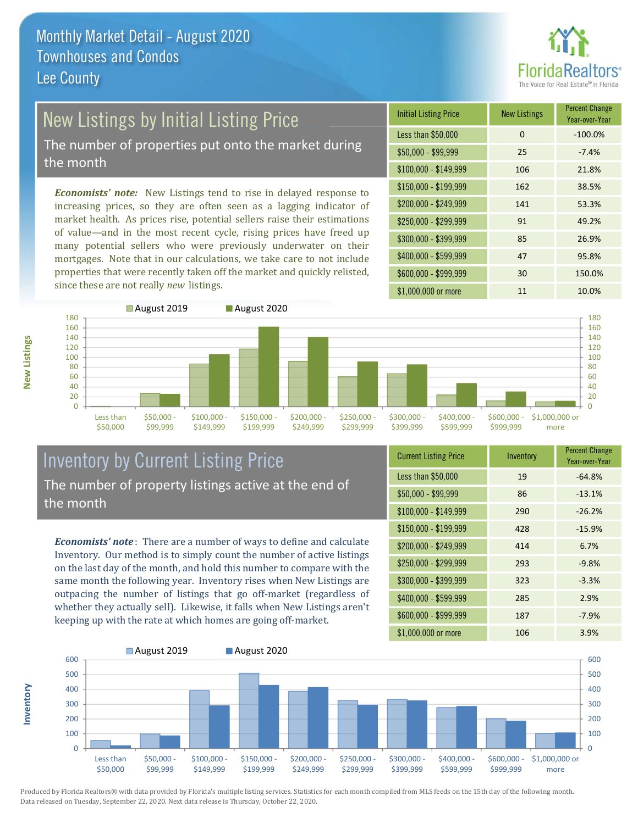

# New Listings by Initial Listing Price

The number of properties put onto the market during the month

Economists' note: New Listings tend to rise in delayed response to increasing prices, so they are often seen as a lagging indicator of market health. As prices rise, potential sellers raise their estimations of value—and in the most recent cycle, rising prices have freed up many potential sellers who were previously underwater on their mortgages. Note that in our calculations, we take care to not include properties that were recently taken off the market and quickly relisted, since these are not really new listings.





### **Inventory by Current Listing Price** The number of property listings active at the end of the month

**Economists' note**: There are a number of ways to define and calculate Inventory. Our method is to simply count the number of active listings on the last day of the month, and hold this number to compare with the same month the following year. Inventory rises when New Listings are outpacing the number of listings that go off-market (regardless of whether they actually sell). Likewise, it falls when New Listings aren't keeping up with the rate at which homes are going off-market.

| <b>Current Listing Price</b> | Inventory | <b>FULLE UTTAILLY</b><br>Year-over-Year |
|------------------------------|-----------|-----------------------------------------|
| Less than \$50,000           | 19        | $-64.8%$                                |
| $$50,000 - $99,999$          | 86        | $-13.1%$                                |
| $$100,000 - $149,999$        | 290       | $-26.2%$                                |
| $$150,000 - $199,999$        | 428       | $-15.9%$                                |
| $$200,000 - $249,999$        | 414       | 6.7%                                    |
| \$250,000 - \$299,999        | 293       | $-9.8%$                                 |
| \$300,000 - \$399,999        | 323       | $-3.3%$                                 |
| \$400,000 - \$599,999        | 285       | 2.9%                                    |
| \$600,000 - \$999,999        | 187       | $-7.9%$                                 |
| $$1$ 000 000 or more         | 106       | $3.9\%$                                 |



Produced by Florida Realtors® with data provided by Florida's multiple listing services. Statistics for each month compiled from MLS feeds on the 15th day of the following month. Data released on Tuesday, September 22, 2020. Next data release is Thursday, October 22, 2020.

nventory